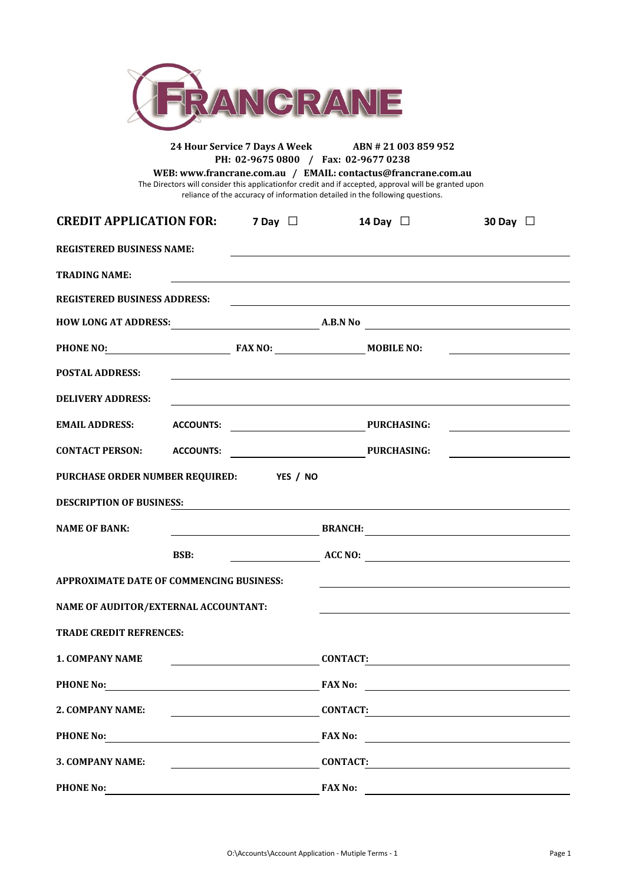

## **24 Hour Service 7 Days A Week ABN # 21 003 859 952 PH: 02-9675 0800 / Fax: 02-9677 0238**

reliance of the accuracy of information detailed in the following questions. **WEB: www.francrane.com.au / EMAIL: contactus@francrane.com.au** The Directors will consider this applicationfor credit and if accepted, approval will be granted upon

| <b>CREDIT APPLICATION FOR:</b> 7 Day $\Box$     |             |                                  |                 | 14 Day $\Box$                                                                    | 30 Day $\Box$                                                                                                        |
|-------------------------------------------------|-------------|----------------------------------|-----------------|----------------------------------------------------------------------------------|----------------------------------------------------------------------------------------------------------------------|
| <b>REGISTERED BUSINESS NAME:</b>                |             |                                  |                 |                                                                                  |                                                                                                                      |
| <b>TRADING NAME:</b>                            |             |                                  |                 | ,我们也不会有一个人的人,我们也不会有一个人的人,我们也不会有一个人的人。""我们,我们也不会有一个人的人,我们也不会有一个人的人,我们也不会有一个人的人,我们 |                                                                                                                      |
| <b>REGISTERED BUSINESS ADDRESS:</b>             |             |                                  |                 |                                                                                  | <u> 1980 - Johann Barn, fransk politik (d. 1980)</u>                                                                 |
|                                                 |             |                                  |                 |                                                                                  |                                                                                                                      |
| PHONE NO: MOBILE NO:                            |             |                                  |                 |                                                                                  | <u> 2000 - Jan Samuel Barbara, politik eta politik eta politik eta politik eta politik eta politik eta politik e</u> |
| <b>POSTAL ADDRESS:</b>                          |             |                                  |                 |                                                                                  |                                                                                                                      |
| <b>DELIVERY ADDRESS:</b>                        |             |                                  |                 | ,我们也不会有什么。""我们的人,我们也不会有什么?""我们的人,我们也不会有什么?""我们的人,我们也不会有什么?""我们的人,我们也不会有什么?""我们的人 |                                                                                                                      |
| <b>EMAIL ADDRESS:</b>                           |             | ACCOUNTS: University PURCHASING: |                 |                                                                                  |                                                                                                                      |
|                                                 |             |                                  |                 |                                                                                  |                                                                                                                      |
| PURCHASE ORDER NUMBER REQUIRED: YES / NO        |             |                                  |                 |                                                                                  |                                                                                                                      |
| <b>DESCRIPTION OF BUSINESS:</b>                 |             |                                  |                 |                                                                                  |                                                                                                                      |
| <b>NAME OF BANK:</b>                            |             |                                  |                 |                                                                                  | <b>EXAMPLE BRANCH: BRANCH: EXAMPLE BRANCH: EXAMPLE 2</b>                                                             |
|                                                 | <b>BSB:</b> |                                  |                 |                                                                                  | $\overline{\phantom{a}}$ ACC NO:                                                                                     |
| <b>APPROXIMATE DATE OF COMMENCING BUSINESS:</b> |             |                                  |                 |                                                                                  |                                                                                                                      |
| NAME OF AUDITOR/EXTERNAL ACCOUNTANT:            |             |                                  |                 |                                                                                  |                                                                                                                      |
| <b>TRADE CREDIT REFRENCES:</b>                  |             |                                  |                 |                                                                                  |                                                                                                                      |
| <b>1. COMPANY NAME</b>                          |             |                                  |                 | $COMTACT:$                                                                       |                                                                                                                      |
| <b>PHONE No:</b>                                |             |                                  | <b>FAX No:</b>  |                                                                                  |                                                                                                                      |
| 2. COMPANY NAME:                                |             |                                  | <b>CONTACT:</b> |                                                                                  |                                                                                                                      |
| <b>PHONE No:</b>                                |             |                                  | <b>FAX No:</b>  |                                                                                  |                                                                                                                      |
| 3. COMPANY NAME:                                |             |                                  | <b>CONTACT:</b> |                                                                                  |                                                                                                                      |
| <b>PHONE No:</b>                                |             |                                  | <b>FAX No:</b>  |                                                                                  |                                                                                                                      |